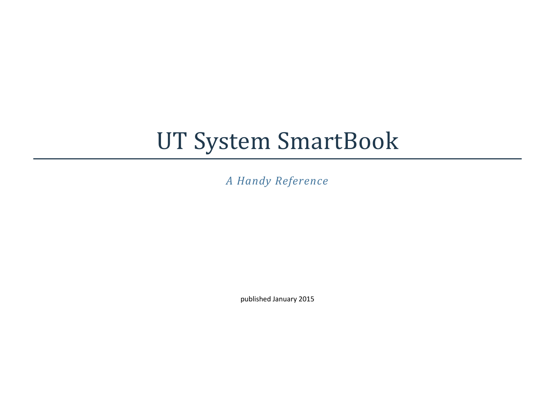# UT System SmartBook

*A Handy Reference*

published January 2015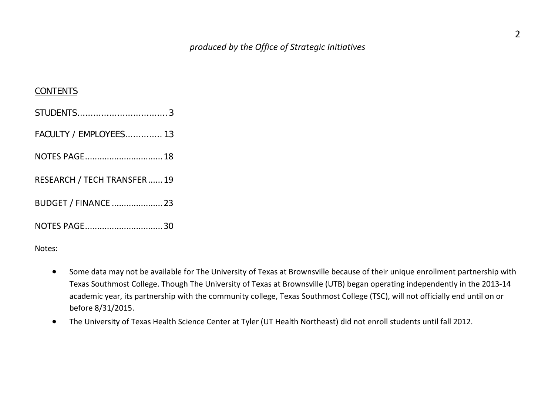#### **CONTENTS**

| FACULTY / EMPLOYEES 13     |  |
|----------------------------|--|
|                            |  |
| RESEARCH / TECH TRANSFER19 |  |
| BUDGET / FINANCE  23       |  |
| NOTES PAGE30               |  |

Notes:

- Some data may not be available for The University of Texas at Brownsville because of their unique enrollment partnership with Texas Southmost College. Though The University of Texas at Brownsville (UTB) began operating independently in the 2013-14 academic year, its partnership with the community college, Texas Southmost College (TSC), will not officially end until on or before 8/31/2015.
- The University of Texas Health Science Center at Tyler (UT Health Northeast) did not enroll students until fall 2012.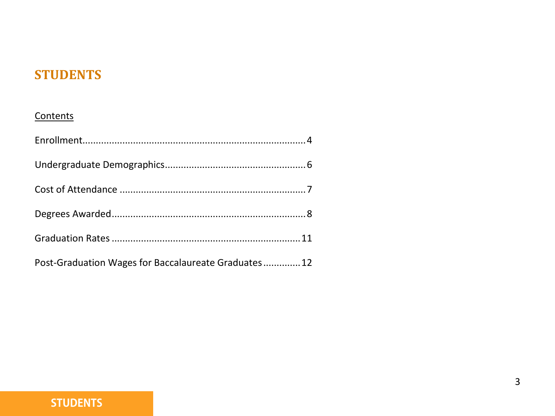# **STUDENTS**

#### **Contents**

| Post-Graduation Wages for Baccalaureate Graduates 12 |  |
|------------------------------------------------------|--|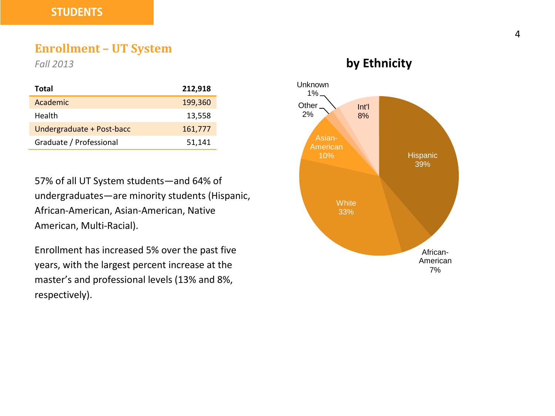#### **Enrollment – UT System**

*Fall 2013*

| Total                     | 212,918 |
|---------------------------|---------|
| Academic                  | 199,360 |
| Health                    | 13,558  |
| Undergraduate + Post-bacc | 161,777 |
| Graduate / Professional   | 51,141  |

57% of all UT System students—and 64% of undergraduates—are minority students (Hispanic, African-American, Asian-American, Native American, Multi-Racial).

Enrollment has increased 5% over the past five years, with the largest percent increase at the master's and professional levels (13% and 8%, respectively).

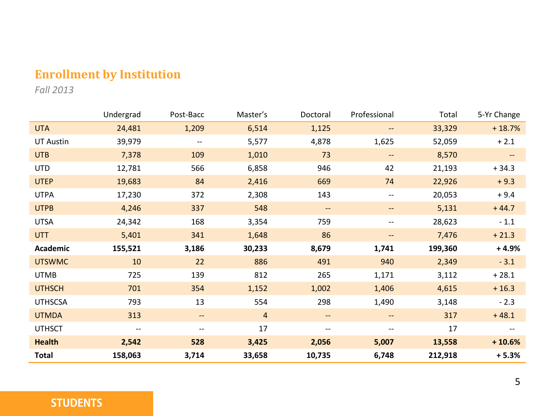# **Enrollment by Institution**

*Fall 2013*

|                  | Undergrad | Post-Bacc                | Master's       | Doctoral                 | Professional             | Total   | 5-Yr Change |
|------------------|-----------|--------------------------|----------------|--------------------------|--------------------------|---------|-------------|
| <b>UTA</b>       | 24,481    | 1,209                    | 6,514          | 1,125                    | $\qquad \qquad -$        | 33,329  | $+18.7%$    |
| <b>UT Austin</b> | 39,979    | $\overline{\phantom{m}}$ | 5,577          | 4,878                    | 1,625                    | 52,059  | $+2.1$      |
| <b>UTB</b>       | 7,378     | 109                      | 1,010          | 73                       | $- -$                    | 8,570   |             |
| <b>UTD</b>       | 12,781    | 566                      | 6,858          | 946                      | 42                       | 21,193  | $+34.3$     |
| <b>UTEP</b>      | 19,683    | 84                       | 2,416          | 669                      | 74                       | 22,926  | $+9.3$      |
| <b>UTPA</b>      | 17,230    | 372                      | 2,308          | 143                      | $-\,$                    | 20,053  | $+9.4$      |
| <b>UTPB</b>      | 4,246     | 337                      | 548            | $\qquad \qquad -$        | $- -$                    | 5,131   | $+44.7$     |
| <b>UTSA</b>      | 24,342    | 168                      | 3,354          | 759                      | $\overline{\phantom{a}}$ | 28,623  | $-1.1$      |
| <b>UTT</b>       | 5,401     | 341                      | 1,648          | 86                       | $\overline{\phantom{a}}$ | 7,476   | $+21.3$     |
| Academic         | 155,521   | 3,186                    | 30,233         | 8,679                    | 1,741                    | 199,360 | $+4.9%$     |
| <b>UTSWMC</b>    | 10        | 22                       | 886            | 491                      | 940                      | 2,349   | $-3.1$      |
| <b>UTMB</b>      | 725       | 139                      | 812            | 265                      | 1,171                    | 3,112   | $+28.1$     |
| <b>UTHSCH</b>    | 701       | 354                      | 1,152          | 1,002                    | 1,406                    | 4,615   | $+16.3$     |
| <b>UTHSCSA</b>   | 793       | 13                       | 554            | 298                      | 1,490                    | 3,148   | $-2.3$      |
| <b>UTMDA</b>     | 313       | --                       | $\overline{4}$ | $\overline{\phantom{a}}$ | $\overline{\phantom{a}}$ | 317     | $+48.1$     |
| <b>UTHSCT</b>    | $- -$     | --                       | 17             | --                       | $\overline{\phantom{a}}$ | 17      |             |
| <b>Health</b>    | 2,542     | 528                      | 3,425          | 2,056                    | 5,007                    | 13,558  | $+10.6%$    |
| Total            | 158,063   | 3,714                    | 33,658         | 10,735                   | 6,748                    | 212,918 | $+5.3%$     |

#### **STUDENTS**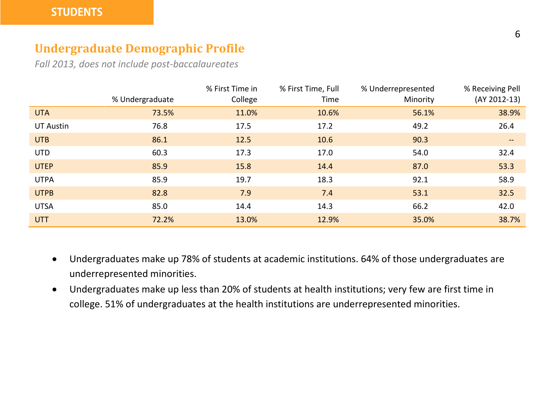## **Undergraduate Demographic Profile**

*Fall 2013, does not include post-baccalaureates*

|             | % Undergraduate | % First Time in<br>College | % First Time, Full<br>Time | % Underrepresented<br>Minority | % Receiving Pell<br>(AY 2012-13) |
|-------------|-----------------|----------------------------|----------------------------|--------------------------------|----------------------------------|
| <b>UTA</b>  | 73.5%           | 11.0%                      | 10.6%                      | 56.1%                          | 38.9%                            |
| UT Austin   | 76.8            | 17.5                       | 17.2                       | 49.2                           | 26.4                             |
| <b>UTB</b>  | 86.1            | 12.5                       | 10.6                       | 90.3                           | $\qquad \qquad -$                |
| <b>UTD</b>  | 60.3            | 17.3                       | 17.0                       | 54.0                           | 32.4                             |
| <b>UTEP</b> | 85.9            | 15.8                       | 14.4                       | 87.0                           | 53.3                             |
| <b>UTPA</b> | 85.9            | 19.7                       | 18.3                       | 92.1                           | 58.9                             |
| <b>UTPB</b> | 82.8            | 7.9                        | 7.4                        | 53.1                           | 32.5                             |
| <b>UTSA</b> | 85.0            | 14.4                       | 14.3                       | 66.2                           | 42.0                             |
| <b>UTT</b>  | 72.2%           | 13.0%                      | 12.9%                      | 35.0%                          | 38.7%                            |

- Undergraduates make up 78% of students at academic institutions. 64% of those undergraduates are underrepresented minorities.
- Undergraduates make up less than 20% of students at health institutions; very few are first time in college. 51% of undergraduates at the health institutions are underrepresented minorities.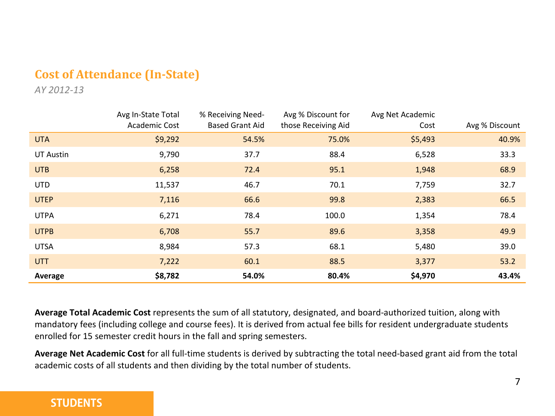# **Cost of Attendance (In-State)**

*AY 2012-13*

|                  | Avg In-State Total   | % Receiving Need-      | Avg % Discount for  | Avg Net Academic |                |
|------------------|----------------------|------------------------|---------------------|------------------|----------------|
|                  | <b>Academic Cost</b> | <b>Based Grant Aid</b> | those Receiving Aid | Cost             | Avg % Discount |
| <b>UTA</b>       | \$9,292              | 54.5%                  | 75.0%               | \$5,493          | 40.9%          |
| <b>UT Austin</b> | 9,790                | 37.7                   | 88.4                | 6,528            | 33.3           |
| <b>UTB</b>       | 6,258                | 72.4                   | 95.1                | 1,948            | 68.9           |
| <b>UTD</b>       | 11,537               | 46.7                   | 70.1                | 7,759            | 32.7           |
| <b>UTEP</b>      | 7,116                | 66.6                   | 99.8                | 2,383            | 66.5           |
| <b>UTPA</b>      | 6,271                | 78.4                   | 100.0               | 1,354            | 78.4           |
| <b>UTPB</b>      | 6,708                | 55.7                   | 89.6                | 3,358            | 49.9           |
| <b>UTSA</b>      | 8,984                | 57.3                   | 68.1                | 5,480            | 39.0           |
| <b>UTT</b>       | 7,222                | 60.1                   | 88.5                | 3,377            | 53.2           |
| Average          | \$8,782              | 54.0%                  | 80.4%               | \$4,970          | 43.4%          |

**Average Total Academic Cost** represents the sum of all statutory, designated, and board-authorized tuition, along with mandatory fees (including college and course fees). It is derived from actual fee bills for resident undergraduate students enrolled for 15 semester credit hours in the fall and spring semesters.

**Average Net Academic Cost** for all full-time students is derived by subtracting the total need-based grant aid from the total academic costs of all students and then dividing by the total number of students.

#### **STUDENTS**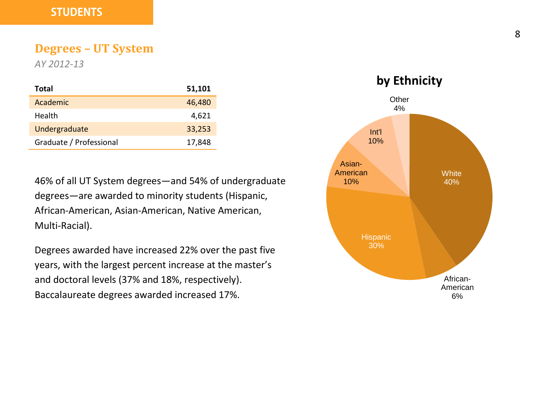#### **Degrees – UT System**

*AY 2012-13*

| Total                   | 51,101 |
|-------------------------|--------|
| Academic                | 46,480 |
| Health                  | 4,621  |
| Undergraduate           | 33,253 |
| Graduate / Professional | 17,848 |

46% of all UT System degrees—and 54% of undergraduate degrees—are awarded to minority students (Hispanic, African-American, Asian-American, Native American, Multi-Racial).

Degrees awarded have increased 22% over the past five years, with the largest percent increase at the master's and doctoral levels (37% and 18%, respectively). Baccalaureate degrees awarded increased 17%.

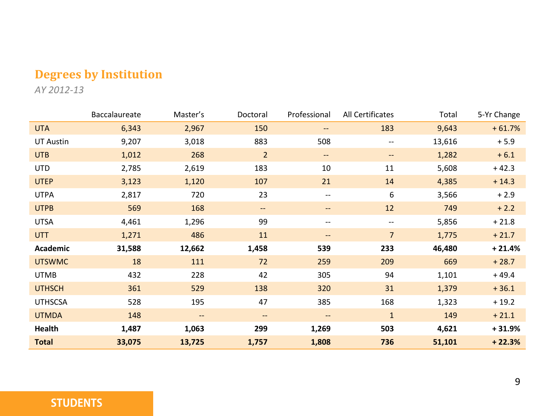# **Degrees by Institution**

*AY 2012-13*

|                  | Baccalaureate | Master's | Doctoral                 | Professional             | All Certificates         | Total  | 5-Yr Change |
|------------------|---------------|----------|--------------------------|--------------------------|--------------------------|--------|-------------|
| <b>UTA</b>       | 6,343         | 2,967    | 150                      | --                       | 183                      | 9,643  | $+61.7%$    |
| <b>UT Austin</b> | 9,207         | 3,018    | 883                      | 508                      | $- -$                    | 13,616 | $+5.9$      |
| <b>UTB</b>       | 1,012         | 268      | $\overline{2}$           | $\overline{\phantom{a}}$ | $- -$                    | 1,282  | $+6.1$      |
| <b>UTD</b>       | 2,785         | 2,619    | 183                      | 10                       | 11                       | 5,608  | $+42.3$     |
| <b>UTEP</b>      | 3,123         | 1,120    | 107                      | 21                       | 14                       | 4,385  | $+14.3$     |
| <b>UTPA</b>      | 2,817         | 720      | 23                       | $\overline{\phantom{a}}$ | 6                        | 3,566  | $+2.9$      |
| <b>UTPB</b>      | 569           | 168      | $\overline{\phantom{a}}$ | $--$                     | 12                       | 749    | $+2.2$      |
| <b>UTSA</b>      | 4,461         | 1,296    | 99                       | $\overline{\phantom{a}}$ | $\overline{\phantom{m}}$ | 5,856  | $+21.8$     |
| <b>UTT</b>       | 1,271         | 486      | 11                       | $\qquad \qquad -$        | $\overline{7}$           | 1,775  | $+21.7$     |
| Academic         | 31,588        | 12,662   | 1,458                    | 539                      | 233                      | 46,480 | $+21.4%$    |
| <b>UTSWMC</b>    | 18            | 111      | 72                       | 259                      | 209                      | 669    | $+28.7$     |
| <b>UTMB</b>      | 432           | 228      | 42                       | 305                      | 94                       | 1,101  | $+49.4$     |
| <b>UTHSCH</b>    | 361           | 529      | 138                      | 320                      | 31                       | 1,379  | $+36.1$     |
| <b>UTHSCSA</b>   | 528           | 195      | 47                       | 385                      | 168                      | 1,323  | $+19.2$     |
| <b>UTMDA</b>     | 148           | --       | $\qquad \qquad -$        | $\qquad \qquad -$        | $\mathbf{1}$             | 149    | $+21.1$     |
| Health           | 1,487         | 1,063    | 299                      | 1,269                    | 503                      | 4,621  | $+31.9%$    |
| <b>Total</b>     | 33,075        | 13,725   | 1,757                    | 1,808                    | 736                      | 51,101 | $+22.3%$    |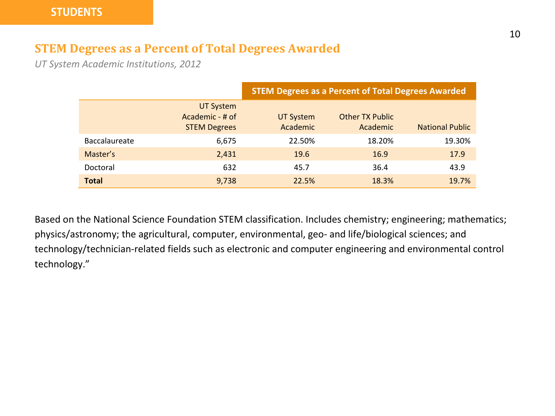### **STEM Degrees as a Percent of Total Degrees Awarded**

*UT System Academic Institutions, 2012*

|                      |                                                            | <b>STEM Degrees as a Percent of Total Degrees Awarded</b> |                                    |                        |  |  |  |
|----------------------|------------------------------------------------------------|-----------------------------------------------------------|------------------------------------|------------------------|--|--|--|
|                      | <b>UT System</b><br>Academic - # of<br><b>STEM Degrees</b> | <b>UT System</b><br>Academic                              | <b>Other TX Public</b><br>Academic | <b>National Public</b> |  |  |  |
| <b>Baccalaureate</b> | 6,675                                                      | 22.50%                                                    | 18.20%                             | 19.30%                 |  |  |  |
| Master's             | 2,431                                                      | 19.6                                                      | 16.9                               | 17.9                   |  |  |  |
| Doctoral             | 632                                                        | 45.7                                                      | 36.4                               | 43.9                   |  |  |  |
| <b>Total</b>         | 9,738                                                      | 22.5%                                                     | 18.3%                              | 19.7%                  |  |  |  |

Based on the National Science Foundation STEM classification. Includes chemistry; engineering; mathematics; physics/astronomy; the agricultural, computer, environmental, geo- and life/biological sciences; and technology/technician-related fields such as electronic and computer engineering and environmental control technology."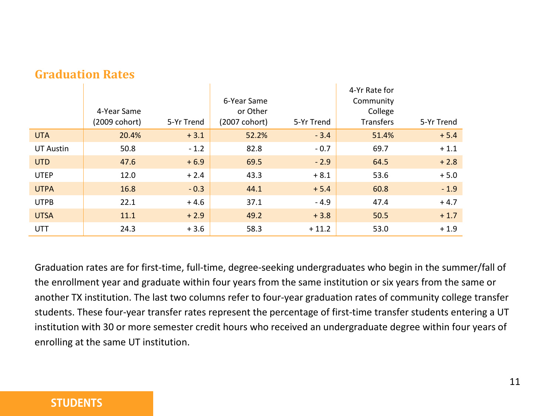|             | 4-Year Same<br>(2009 cohort) | 5-Yr Trend | 6-Year Same<br>or Other<br>(2007 cohort) | 5-Yr Trend | 4-Yr Rate for<br>Community<br>College<br><b>Transfers</b> | 5-Yr Trend |
|-------------|------------------------------|------------|------------------------------------------|------------|-----------------------------------------------------------|------------|
| <b>UTA</b>  | 20.4%                        | $+3.1$     | 52.2%                                    | $-3.4$     | 51.4%                                                     | $+5.4$     |
| UT Austin   | 50.8                         | $-1.2$     | 82.8                                     | $-0.7$     | 69.7                                                      | $+1.1$     |
| <b>UTD</b>  | 47.6                         | $+6.9$     | 69.5                                     | $-2.9$     | 64.5                                                      | $+2.8$     |
| <b>UTEP</b> | 12.0                         | $+2.4$     | 43.3                                     | $+8.1$     | 53.6                                                      | $+5.0$     |
| <b>UTPA</b> | 16.8                         | $-0.3$     | 44.1                                     | $+ 5.4$    | 60.8                                                      | $-1.9$     |
| <b>UTPB</b> | 22.1                         | $+4.6$     | 37.1                                     | $-4.9$     | 47.4                                                      | $+4.7$     |
| <b>UTSA</b> | 11.1                         | $+2.9$     | 49.2                                     | $+3.8$     | 50.5                                                      | $+1.7$     |
| UTT         | 24.3                         | $+3.6$     | 58.3                                     | $+11.2$    | 53.0                                                      | $+1.9$     |

#### **Graduation Rates**

Graduation rates are for first-time, full-time, degree-seeking undergraduates who begin in the summer/fall of the enrollment year and graduate within four years from the same institution or six years from the same or another TX institution. The last two columns refer to four-year graduation rates of community college transfer students. These four-year transfer rates represent the percentage of first-time transfer students entering a UT institution with 30 or more semester credit hours who received an undergraduate degree within four years of enrolling at the same UT institution.

#### **STUDENTS**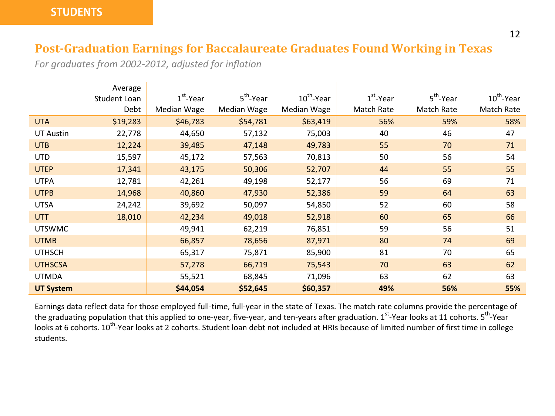### **Post-Graduation Earnings for Baccalaureate Graduates Found Working in Texas**

*For graduates from 2002-2012, adjusted for inflation*

|                  | Average      |             |                       |                        |             |                       |                        |
|------------------|--------------|-------------|-----------------------|------------------------|-------------|-----------------------|------------------------|
|                  | Student Loan | $1st$ -Year | $5^{\text{th}}$ -Year | $10^{\text{th}}$ -Year | $1st$ -Year | 5 <sup>th</sup> -Year | $10^{\text{th}}$ -Year |
|                  | Debt         | Median Wage | Median Wage           | Median Wage            | Match Rate  | Match Rate            | Match Rate             |
| <b>UTA</b>       | \$19,283     | \$46,783    | \$54,781              | \$63,419               | 56%         | 59%                   | 58%                    |
| <b>UT Austin</b> | 22,778       | 44,650      | 57,132                | 75,003                 | 40          | 46                    | 47                     |
| <b>UTB</b>       | 12,224       | 39,485      | 47,148                | 49,783                 | 55          | 70                    | 71                     |
| <b>UTD</b>       | 15,597       | 45,172      | 57,563                | 70,813                 | 50          | 56                    | 54                     |
| <b>UTEP</b>      | 17,341       | 43,175      | 50,306                | 52,707                 | 44          | 55                    | 55                     |
| <b>UTPA</b>      | 12,781       | 42,261      | 49,198                | 52,177                 | 56          | 69                    | 71                     |
| <b>UTPB</b>      | 14,968       | 40,860      | 47,930                | 52,386                 | 59          | 64                    | 63                     |
| <b>UTSA</b>      | 24,242       | 39,692      | 50,097                | 54,850                 | 52          | 60                    | 58                     |
| <b>UTT</b>       | 18,010       | 42,234      | 49,018                | 52,918                 | 60          | 65                    | 66                     |
| <b>UTSWMC</b>    |              | 49,941      | 62,219                | 76,851                 | 59          | 56                    | 51                     |
| <b>UTMB</b>      |              | 66,857      | 78,656                | 87,971                 | 80          | 74                    | 69                     |
| <b>UTHSCH</b>    |              | 65,317      | 75,871                | 85,900                 | 81          | 70                    | 65                     |
| <b>UTHSCSA</b>   |              | 57,278      | 66,719                | 75,543                 | 70          | 63                    | 62                     |
| <b>UTMDA</b>     |              | 55,521      | 68,845                | 71,096                 | 63          | 62                    | 63                     |
| <b>UT System</b> |              | \$44,054    | \$52,645              | \$60,357               | 49%         | 56%                   | 55%                    |

Earnings data reflect data for those employed full-time, full-year in the state of Texas. The match rate columns provide the percentage of the graduating population that this applied to one-year, five-year, and ten-years after graduation. 1<sup>st</sup>-Year looks at 11 cohorts. 5<sup>th</sup>-Year looks at 6 cohorts. 10<sup>th</sup>-Year looks at 2 cohorts. Student loan debt not included at HRIs because of limited number of first time in college students.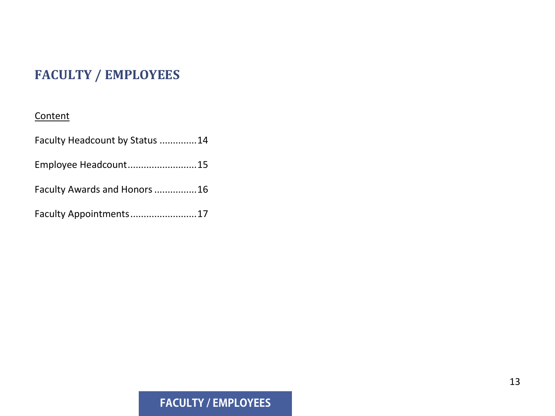# **FACULTY / EMPLOYEES**

#### **Content**

| Faculty Headcount by Status 14 |  |
|--------------------------------|--|
| Employee Headcount15           |  |
| Faculty Awards and Honors 16   |  |
| Faculty Appointments17         |  |

# **FACULTY / EMPLOYEES**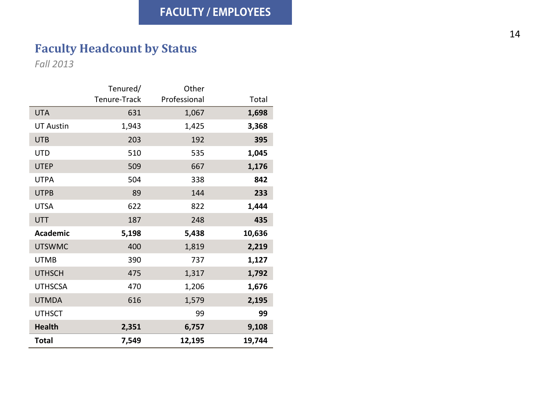# **Faculty Headcount by Status**

*Fall 2013*

|                  | Tenured/     | Other        |        |
|------------------|--------------|--------------|--------|
|                  | Tenure-Track | Professional | Total  |
| <b>UTA</b>       | 631          | 1,067        | 1,698  |
| <b>UT Austin</b> | 1,943        | 1,425        | 3,368  |
| <b>UTB</b>       | 203          | 192          | 395    |
| <b>UTD</b>       | 510          | 535          | 1,045  |
| <b>UTEP</b>      | 509          | 667          | 1,176  |
| <b>UTPA</b>      | 504          | 338          | 842    |
| <b>UTPB</b>      | 89           | 144          | 233    |
| UTSA             | 622          | 822          | 1,444  |
| <b>UTT</b>       | 187          | 248          | 435    |
| <b>Academic</b>  | 5,198        | 5,438        | 10,636 |
| <b>UTSWMC</b>    | 400          | 1,819        | 2,219  |
| <b>UTMB</b>      | 390          | 737          | 1,127  |
| <b>UTHSCH</b>    | 475          | 1,317        | 1,792  |
| <b>UTHSCSA</b>   | 470          | 1,206        | 1,676  |
| <b>UTMDA</b>     | 616          | 1,579        | 2,195  |
| <b>UTHSCT</b>    |              | 99           | 99     |
| <b>Health</b>    | 2,351        | 6,757        | 9,108  |
| Total            | 7.549        | 12,195       | 19,744 |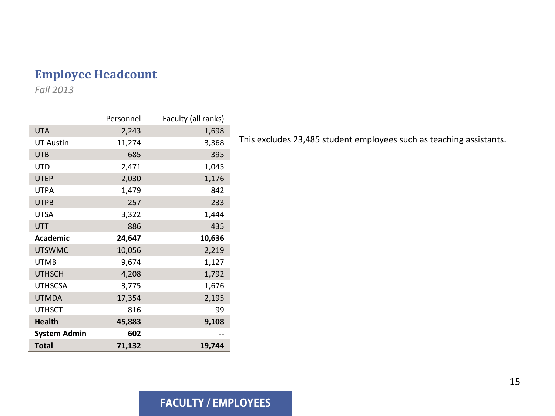## **Employee Headcount**

*Fall 2013*

|                     | Personnel | Faculty (all ranks) |
|---------------------|-----------|---------------------|
| <b>UTA</b>          | 2,243     | 1,698               |
| <b>UT Austin</b>    | 11,274    | 3,368               |
| <b>UTB</b>          | 685       | 395                 |
| <b>UTD</b>          | 2,471     | 1,045               |
| <b>UTEP</b>         | 2,030     | 1,176               |
| <b>UTPA</b>         | 1,479     | 842                 |
| <b>UTPB</b>         | 257       | 233                 |
| UTSA                | 3,322     | 1,444               |
| <b>UTT</b>          | 886       | 435                 |
| Academic            | 24,647    | 10,636              |
| <b>UTSWMC</b>       | 10,056    | 2,219               |
| <b>UTMB</b>         | 9,674     | 1,127               |
| <b>UTHSCH</b>       | 4,208     | 1,792               |
| <b>UTHSCSA</b>      | 3,775     | 1,676               |
| <b>UTMDA</b>        | 17,354    | 2,195               |
| <b>UTHSCT</b>       | 816       | 99                  |
| <b>Health</b>       | 45,883    | 9,108               |
| <b>System Admin</b> | 602       |                     |
| <b>Total</b>        | 71,132    | 19,744              |

This excludes 23,485 student employees such as teaching assistants.

#### **FACULTY / EMPLOYEES**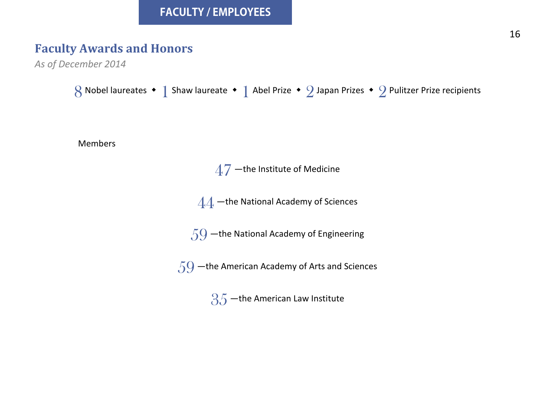# **Faculty Awards and Honors**

```
As of December 2014
```
Nobel laureates  $\cdot$  1 Shaw laureate  $\cdot$  1 Abel Prize  $\cdot$  2 Japan Prizes  $\cdot$  2 Pulitzer Prize recipients



–the Institute of Medicine

–the National Academy of Sciences

–the National Academy of Engineering

–the American Academy of Arts and Sciences

-the American Law Institute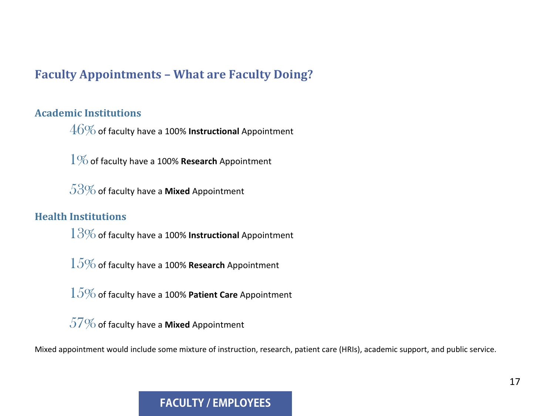### **Faculty Appointments – What are Faculty Doing?**

#### **Academic Institutions**

46%of faculty have a 100% **Instructional** Appointment

1%of faculty have a 100% **Research** Appointment

53%of faculty have a **Mixed** Appointment

#### **Health Institutions**

13%of faculty have a 100% **Instructional** Appointment

15%of faculty have a 100% **Research** Appointment

15%of faculty have a 100% **Patient Care** Appointment

57%of faculty have a **Mixed** Appointment

Mixed appointment would include some mixture of instruction, research, patient care (HRIs), academic support, and public service.

#### **FACULTY / EMPLOYEES**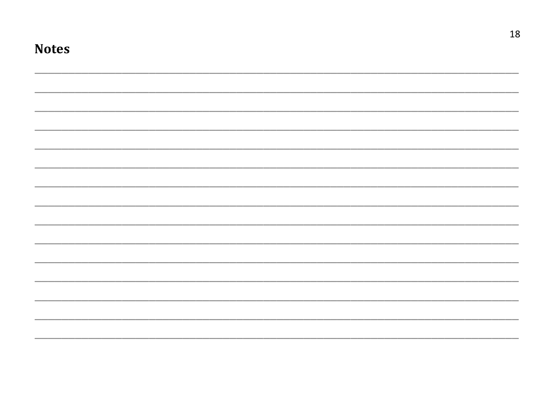| <b>Notes</b> |  |  |
|--------------|--|--|
|              |  |  |
|              |  |  |
|              |  |  |
|              |  |  |
|              |  |  |
|              |  |  |
|              |  |  |
|              |  |  |
|              |  |  |
|              |  |  |
|              |  |  |
|              |  |  |
|              |  |  |
|              |  |  |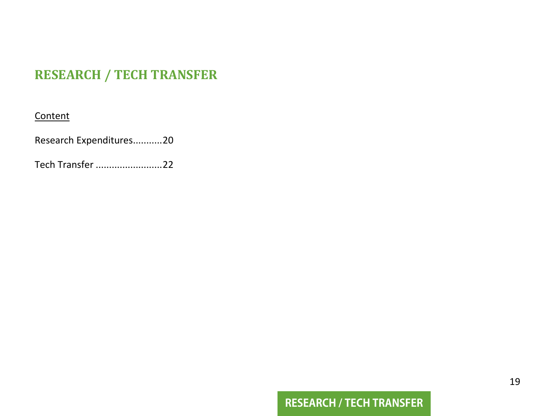# **RESEARCH / TECH TRANSFER**

#### **Content**

Research Expenditures...........20

Tech Transfer .........................22

# **RESEARCH / TECH TRANSFER**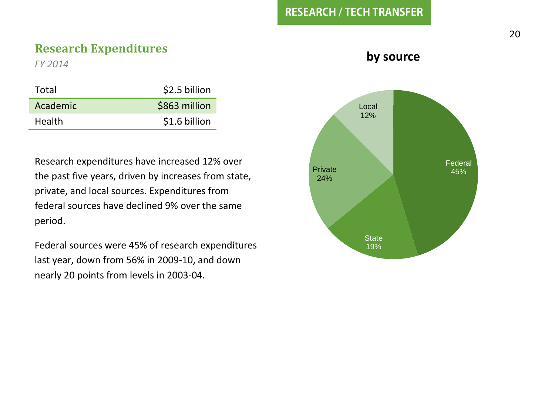#### **RESEARCH / TECH TRANSFER**

#### **Research Expenditures**

*FY 2014*

| \$2.5 billion |
|---------------|
| \$863 million |
| \$1.6 billion |
|               |

Research expenditures have increased 12% over the past five years, driven by increases from state, private, and local sources. Expenditures from federal sources have declined 9% over the same period.

Federal sources were 45% of research expenditures last year, down from 56% in 2009-10, and down nearly 20 points from levels in 2003-04.

#### **by source**

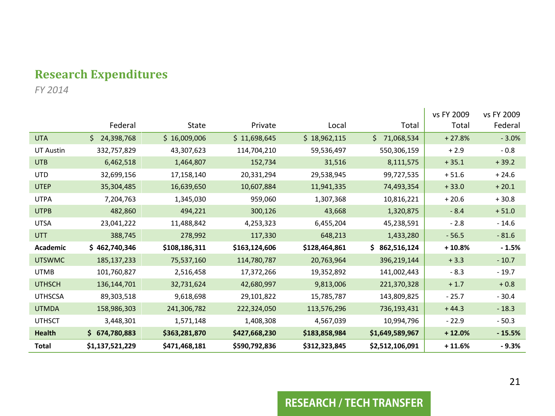## **Research Expenditures**

*FY 2014*

|                  |                 |               |               |               |                  | vs FY 2009 | vs FY 2009 |
|------------------|-----------------|---------------|---------------|---------------|------------------|------------|------------|
|                  | Federal         | State         | Private       | Local         | Total            | Total      | Federal    |
| <b>UTA</b>       | \$24,398,768    | \$16,009,006  | \$11,698,645  | \$18,962,115  | Ś.<br>71,068,534 | $+27.8%$   | $-3.0%$    |
| <b>UT Austin</b> | 332,757,829     | 43,307,623    | 114,704,210   | 59,536,497    | 550,306,159      | $+2.9$     | $-0.8$     |
| <b>UTB</b>       | 6,462,518       | 1,464,807     | 152,734       | 31,516        | 8,111,575        | $+35.1$    | $+39.2$    |
| <b>UTD</b>       | 32,699,156      | 17,158,140    | 20,331,294    | 29,538,945    | 99,727,535       | $+51.6$    | $+24.6$    |
| <b>UTEP</b>      | 35,304,485      | 16,639,650    | 10,607,884    | 11,941,335    | 74,493,354       | $+33.0$    | $+20.1$    |
| <b>UTPA</b>      | 7,204,763       | 1,345,030     | 959,060       | 1,307,368     | 10,816,221       | $+20.6$    | $+30.8$    |
| <b>UTPB</b>      | 482,860         | 494,221       | 300,126       | 43,668        | 1,320,875        | $-8.4$     | $+51.0$    |
| <b>UTSA</b>      | 23,041,222      | 11,488,842    | 4,253,323     | 6,455,204     | 45,238,591       | $-2.8$     | $-14.6$    |
| <b>UTT</b>       | 388,745         | 278,992       | 117,330       | 648,213       | 1,433,280        | $-56.5$    | $-81.6$    |
| <b>Academic</b>  | \$462,740,346   | \$108,186,311 | \$163,124,606 | \$128,464,861 | \$862,516,124    | $+10.8%$   | $-1.5%$    |
| <b>UTSWMC</b>    | 185, 137, 233   | 75,537,160    | 114,780,787   | 20,763,964    | 396,219,144      | $+3.3$     | $-10.7$    |
| <b>UTMB</b>      | 101.760.827     | 2,516,458     | 17,372,266    | 19,352,892    | 141,002,443      | $-8.3$     | $-19.7$    |
| <b>UTHSCH</b>    | 136,144,701     | 32,731,624    | 42,680,997    | 9,813,006     | 221,370,328      | $+1.7$     | $+0.8$     |
| <b>UTHSCSA</b>   | 89,303,518      | 9,618,698     | 29,101,822    | 15,785,787    | 143,809,825      | $-25.7$    | $-30.4$    |
| <b>UTMDA</b>     | 158,986,303     | 241,306,782   | 222,324,050   | 113,576,296   | 736,193,431      | $+44.3$    | $-18.3$    |
| <b>UTHSCT</b>    | 3,448,301       | 1,571,148     | 1,408,308     | 4,567,039     | 10,994,796       | $-22.9$    | $-50.3$    |
| <b>Health</b>    | \$674,780,883   | \$363,281,870 | \$427,668,230 | \$183,858,984 | \$1,649,589,967  | $+12.0%$   | $-15.5%$   |
| Total            | \$1,137,521,229 | \$471,468,181 | \$590,792,836 | \$312,323,845 | \$2,512,106,091  | $+11.6%$   | $-9.3%$    |

#### **RESEARCH / TECH TRANSFER**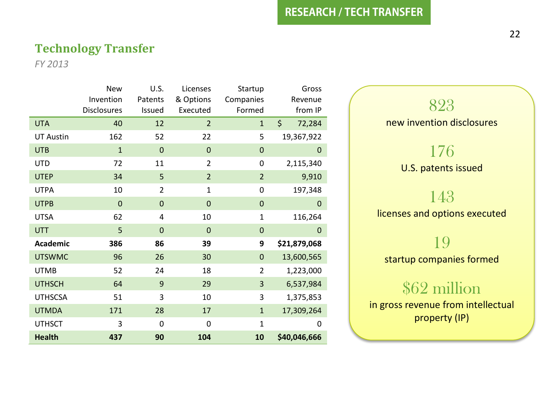#### **Technology Transfer**

*FY 2013*

|                  | <b>New</b>         | U.S.           | Licenses       | Startup        | Gross        |
|------------------|--------------------|----------------|----------------|----------------|--------------|
|                  | Invention          | Patents        | & Options      | Companies      | Revenue      |
|                  | <b>Disclosures</b> | Issued         | Executed       | Formed         | from IP      |
| <b>UTA</b>       | 40                 | 12             | $\overline{2}$ | $\mathbf{1}$   | \$<br>72,284 |
| <b>UT Austin</b> | 162                | 52             | 22             | 5              | 19,367,922   |
| <b>UTB</b>       | $\mathbf{1}$       | $\mathbf{0}$   | $\mathbf 0$    | $\mathbf{0}$   | 0            |
| <b>UTD</b>       | 72                 | 11             | 2              | 0              | 2,115,340    |
| <b>UTEP</b>      | 34                 | 5              | $\overline{2}$ | $\overline{2}$ | 9,910        |
| <b>UTPA</b>      | 10                 | $\overline{2}$ | $\mathbf 1$    | 0              | 197,348      |
| <b>UTPB</b>      | $\overline{0}$     | $\overline{0}$ | $\mathbf 0$    | $\overline{0}$ | 0            |
| <b>UTSA</b>      | 62                 | 4              | 10             | $\mathbf{1}$   | 116,264      |
| <b>UTT</b>       | 5                  | $\overline{0}$ | $\overline{0}$ | $\overline{0}$ | $\mathbf{0}$ |
| Academic         | 386                | 86             | 39             | 9              | \$21,879,068 |
| <b>UTSWMC</b>    | 96                 | 26             | 30             | $\overline{0}$ | 13,600,565   |
| <b>UTMB</b>      | 52                 | 24             | 18             | $\overline{2}$ | 1,223,000    |
| <b>UTHSCH</b>    | 64                 | 9              | 29             | 3              | 6,537,984    |
| <b>UTHSCSA</b>   | 51                 | 3              | 10             | 3              | 1,375,853    |
| <b>UTMDA</b>     | 171                | 28             | 17             | $\mathbf{1}$   | 17,309,264   |
| <b>UTHSCT</b>    | 3                  | $\mathbf 0$    | 0              | $\mathbf{1}$   | 0            |
| <b>Health</b>    | 437                | 90             | 104            | 10             | \$40,046,666 |



startup companies formed

# \$62 million

in gross revenue from intellectual property (IP)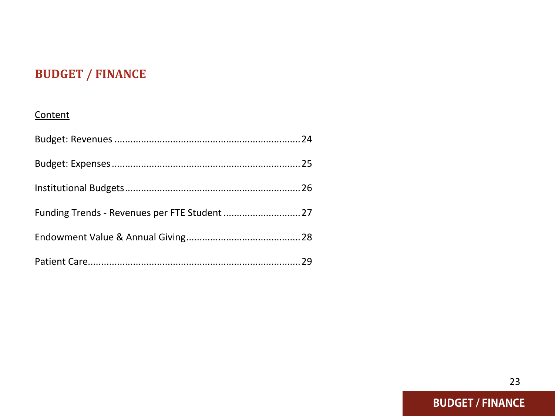# **BUDGET / FINANCE**

#### **Content**

| Funding Trends - Revenues per FTE Student  27 |  |
|-----------------------------------------------|--|
|                                               |  |
|                                               |  |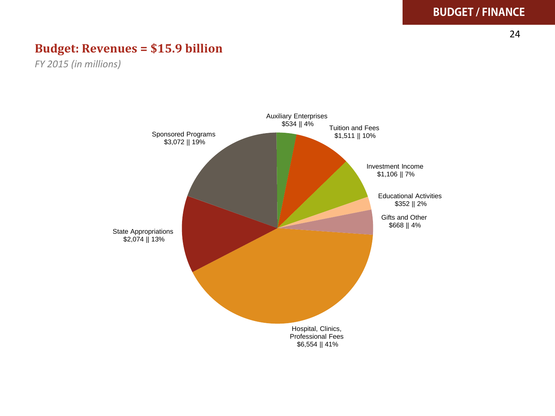**BUDGET / FINANCE**

#### **Budget: Revenues = \$15.9 billion**

*FY 2015 (in millions)*

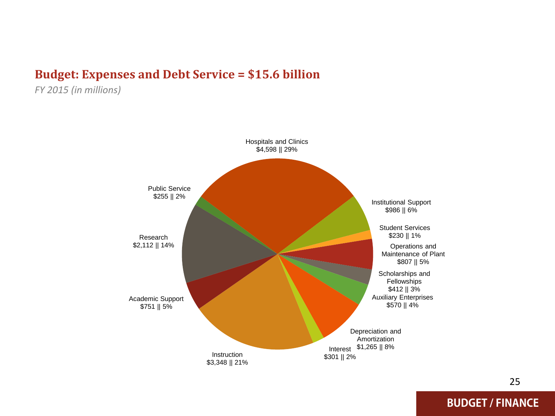#### **Budget: Expenses and Debt Service = \$15.6 billion**

*FY 2015 (in millions)*



25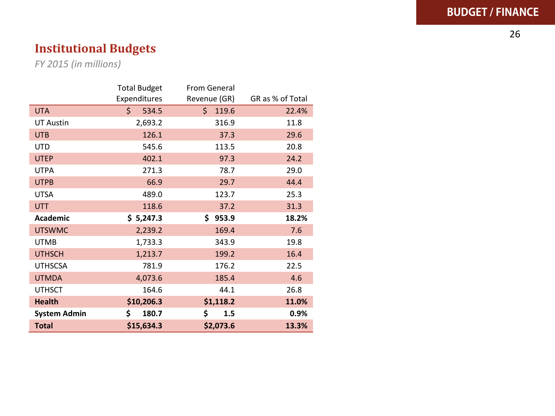26

# **Institutional Budgets**

*FY 2015 (in millions)*

|                     | <b>Total Budget</b> | From General |                  |
|---------------------|---------------------|--------------|------------------|
|                     | Expenditures        | Revenue (GR) | GR as % of Total |
| <b>UTA</b>          | Ś.<br>534.5         | Ś.<br>119.6  | 22.4%            |
| <b>UT Austin</b>    | 2,693.2             | 316.9        | 11.8             |
| <b>UTB</b>          | 126.1               | 37.3         | 29.6             |
| UTD                 | 545.6               | 113.5        | 20.8             |
| <b>UTEP</b>         | 402.1               | 97.3         | 24.2             |
| <b>UTPA</b>         | 271.3               | 78.7         | 29.0             |
| <b>UTPB</b>         | 66.9                | 29.7         | 44.4             |
| <b>UTSA</b>         | 489.0               | 123.7        | 25.3             |
| <b>UTT</b>          | 118.6               | 37.2         | 31.3             |
| Academic            | \$5,247.3           | \$953.9      | 18.2%            |
| <b>UTSWMC</b>       | 2,239.2             | 169.4        | 7.6              |
| <b>UTMB</b>         | 1,733.3             | 343.9        | 19.8             |
| <b>UTHSCH</b>       | 1,213.7             | 199.2        | 16.4             |
| <b>UTHSCSA</b>      | 781.9               | 176.2        | 22.5             |
| <b>UTMDA</b>        | 4,073.6             | 185.4        | 4.6              |
| <b>UTHSCT</b>       | 164.6               | 44.1         | 26.8             |
| <b>Health</b>       | \$10,206.3          | \$1,118.2    | 11.0%            |
| <b>System Admin</b> | \$<br>180.7         | \$<br>1.5    | 0.9%             |
| <b>Total</b>        | \$15,634.3          | \$2,073.6    | 13.3%            |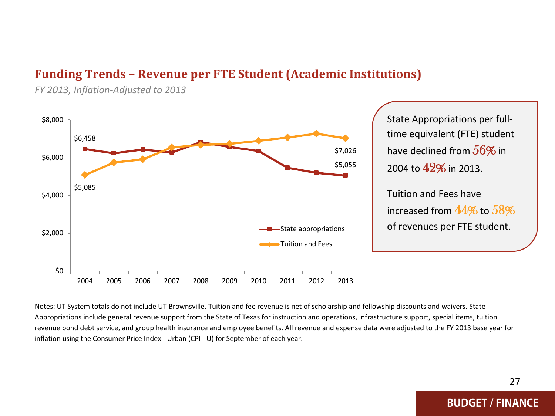#### **Funding Trends – Revenue per FTE Student (Academic Institutions)**

\$6,458 \$5,055 \$5,085 \$7,026 \$0 \$2,000 \$4,000 \$6,000 \$8,000 2004 2005 2006 2007 2008 2009 2010 2011 2012 2013 State appropriations Tuition and Fees State Appropriations per fulltime equivalent (FTE) student have declined from  $56\%$  in 2004 to 42% in 2013. Tuition and Fees have increased from  $44\%$  to  $58\%$ of revenues per FTE student.

*FY 2013, Inflation-Adjusted to 2013*

Notes: UT System totals do not include UT Brownsville. Tuition and fee revenue is net of scholarship and fellowship discounts and waivers. State Appropriations include general revenue support from the State of Texas for instruction and operations, infrastructure support, special items, tuition revenue bond debt service, and group health insurance and employee benefits. All revenue and expense data were adjusted to the FY 2013 base year for inflation using the Consumer Price Index - Urban (CPI - U) for September of each year.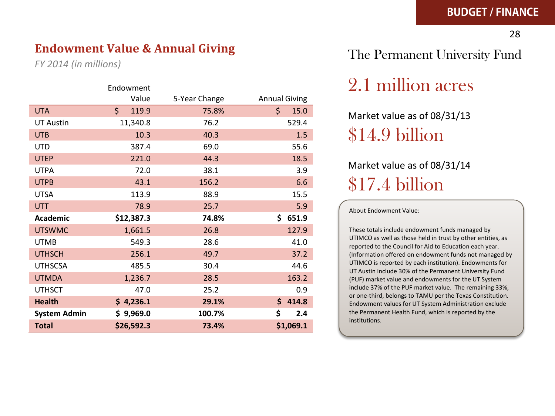#### **Endowment Value & Annual Giving**

*FY 2014 (in millions)*

|                     | Endowment   |               |                      |
|---------------------|-------------|---------------|----------------------|
|                     | Value       | 5-Year Change | <b>Annual Giving</b> |
| <b>UTA</b>          | Ś.<br>119.9 | 75.8%         | Ś.<br>15.0           |
| <b>UT Austin</b>    | 11,340.8    | 76.2          | 529.4                |
| <b>UTB</b>          | 10.3        | 40.3          | 1.5                  |
| <b>UTD</b>          | 387.4       | 69.0          | 55.6                 |
| <b>UTEP</b>         | 221.0       | 44.3          | 18.5                 |
| <b>UTPA</b>         | 72.0        | 38.1          | 3.9                  |
| <b>UTPB</b>         | 43.1        | 156.2         | 6.6                  |
| <b>UTSA</b>         | 113.9       | 88.9          | 15.5                 |
| <b>UTT</b>          | 78.9        | 25.7          | 5.9                  |
| Academic            | \$12,387.3  | 74.8%         | 651.9<br>Ś.          |
| <b>UTSWMC</b>       | 1,661.5     | 26.8          | 127.9                |
| <b>UTMB</b>         | 549.3       | 28.6          | 41.0                 |
| <b>UTHSCH</b>       | 256.1       | 49.7          | 37.2                 |
| <b>UTHSCSA</b>      | 485.5       | 30.4          | 44.6                 |
| <b>UTMDA</b>        | 1,236.7     | 28.5          | 163.2                |
| <b>UTHSCT</b>       | 47.0        | 25.2          | 0.9                  |
| <b>Health</b>       | \$4,236.1   | 29.1%         | \$414.8              |
| <b>System Admin</b> | \$9,969.0   | 100.7%        | \$<br>2.4            |
| <b>Total</b>        | \$26,592.3  | 73.4%         | \$1,069.1            |

### The Permanent University Fund

# 2.1 million acres

Market value as of 08/31/13 \$14.9 billion

# Market value as of 08/31/14 \$17.4 billion

About Endowment Value:

These totals include endowment funds managed by UTIMCO as well as those held in trust by other entities, as reported to the Council for Aid to Education each year. (Information offered on endowment funds not managed by UTIMCO is reported by each institution). Endowments for UT Austin include 30% of the Permanent University Fund (PUF) market value and endowments for the UT System include 37% of the PUF market value. The remaining 33%, or one-third, belongs to TAMU per the Texas Constitution. Endowment values for UT System Administration exclude the Permanent Health Fund, which is reported by the institutions.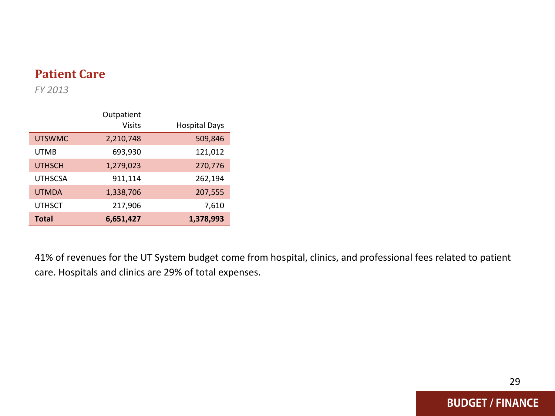### **Patient Care**

*FY 2013*

|                | Outpatient    |                      |
|----------------|---------------|----------------------|
|                | <b>Visits</b> | <b>Hospital Days</b> |
| <b>UTSWMC</b>  | 2,210,748     | 509,846              |
| <b>UTMB</b>    | 693,930       | 121,012              |
| <b>UTHSCH</b>  | 1,279,023     | 270,776              |
| <b>UTHSCSA</b> | 911,114       | 262,194              |
| <b>UTMDA</b>   | 1,338,706     | 207,555              |
| <b>UTHSCT</b>  | 217,906       | 7,610                |
| <b>Total</b>   | 6,651,427     | 1,378,993            |

41% of revenues for the UT System budget come from hospital, clinics, and professional fees related to patient care. Hospitals and clinics are 29% of total expenses.